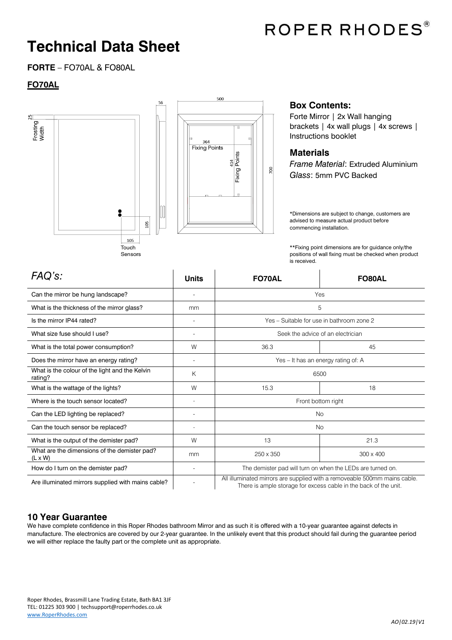

## **Technical Data Sheet**

**FORTE** – FO70AL & FO80AL

### **FO70AL**



#### **Box Contents:**

Forte Mirror | 2x Wall hanging brackets | 4x wall plugs | 4x screws | Instructions booklet

#### **Materials**

700

*Frame Material*: Extruded Aluminium *Glass*: 5mm PVC Backed

\*Dimensions are subject to change, customers are advised to measure actual product before commencing installation.

\*\*Fixing point dimensions are for guidance only/the positions of wall fixing must be checked when product is received.

| FAQ's:                                                         | <b>Units</b>                 | <b>FO70AL</b>                                                                                                                                 | <b>FO80AL</b>    |
|----------------------------------------------------------------|------------------------------|-----------------------------------------------------------------------------------------------------------------------------------------------|------------------|
| Can the mirror be hung landscape?                              |                              | Yes                                                                                                                                           |                  |
| What is the thickness of the mirror glass?                     | mm                           | 5                                                                                                                                             |                  |
| Is the mirror IP44 rated?                                      |                              | Yes - Suitable for use in bathroom zone 2                                                                                                     |                  |
| What size fuse should I use?                                   | $\qquad \qquad \blacksquare$ | Seek the advice of an electrician                                                                                                             |                  |
| What is the total power consumption?                           | W                            | 36.3                                                                                                                                          | 45               |
| Does the mirror have an energy rating?                         |                              | Yes - It has an energy rating of: A                                                                                                           |                  |
| What is the colour of the light and the Kelvin<br>rating?      | Κ                            | 6500                                                                                                                                          |                  |
| What is the wattage of the lights?                             | W                            | 15.3                                                                                                                                          | 18               |
| Where is the touch sensor located?                             |                              | Front bottom right                                                                                                                            |                  |
| Can the LED lighting be replaced?                              |                              | <b>No</b>                                                                                                                                     |                  |
| Can the touch sensor be replaced?                              |                              | <b>No</b>                                                                                                                                     |                  |
| What is the output of the demister pad?                        | W                            | 13                                                                                                                                            | 21.3             |
| What are the dimensions of the demister pad?<br>$(L \times W)$ | mm                           | 250 x 350                                                                                                                                     | $300 \times 400$ |
| How do I turn on the demister pad?                             |                              | The demister pad will turn on when the LEDs are turned on.                                                                                    |                  |
| Are illuminated mirrors supplied with mains cable?             |                              | All illuminated mirrors are supplied with a removeable 500mm mains cable.<br>There is ample storage for excess cable in the back of the unit. |                  |

#### **10 Year Guarantee**

We have complete confidence in this Roper Rhodes bathroom Mirror and as such it is offered with a 10-year guarantee against defects in manufacture. The electronics are covered by our 2-year guarantee. In the unlikely event that this product should fail during the guarantee period we will either replace the faulty part or the complete unit as appropriate.